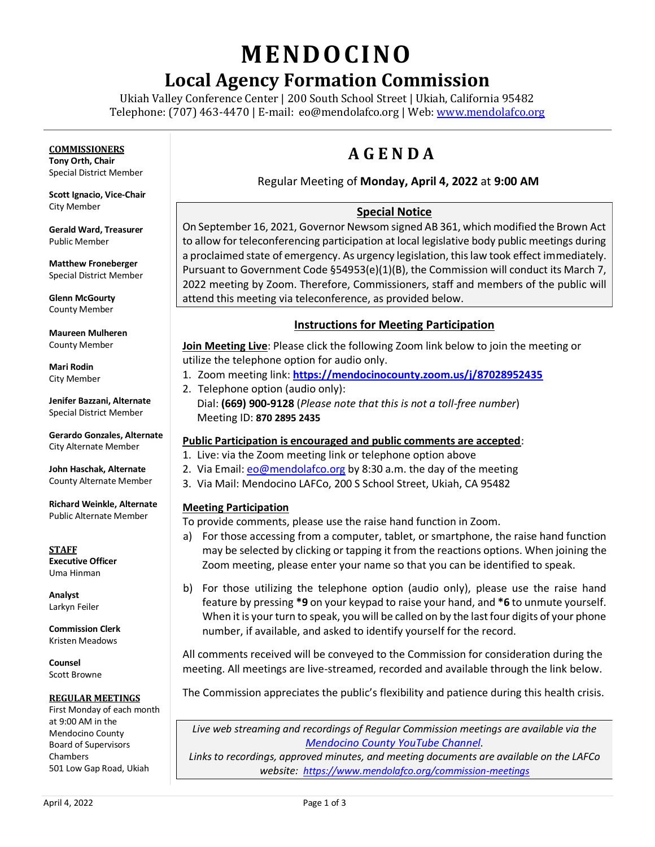# **MENDO CINO**

## **Local Agency Formation Commission**

Ukiah Valley Conference Center | 200 South School Street | Ukiah, California 95482 Telephone: (707) 463-4470 | E-mail: [eo@mendolafco.org](mailto:eo@mendolafco.org) | Web[: www.mendolafco.org](http://www.mendolafco.org/)

### **COMMISSIONERS**

**Tony Orth, Chair** Special District Member

**Scott Ignacio, Vice-Chair** City Member

**Gerald Ward, Treasurer** Public Member

**Matthew Froneberger** Special District Member

**Glenn McGourty** County Member

**Maureen Mulheren** County Member

**Mari Rodin** City Member

**Jenifer Bazzani, Alternate** Special District Member

**Gerardo Gonzales, Alternate** City Alternate Member

**John Haschak, Alternate** County Alternate Member

**Richard Weinkle, Alternate** Public Alternate Member

**STAFF Executive Officer** Uma Hinman

**Analyst** Larkyn Feiler

**Commission Clerk** Kristen Meadows

**Counsel** Scott Browne

#### **REGULAR MEETINGS**

First Monday of each month at 9:00 AM in the Mendocino County Board of Supervisors Chambers 501 Low Gap Road, Ukiah

## **A G E N D A**

#### Regular Meeting of **Monday, April 4, 2022** at **9:00 AM**

### **Special Notice**

On September 16, 2021, Governor Newsom signed AB 361, which modified the Brown Act to allow for teleconferencing participation at local legislative body public meetings during a proclaimed state of emergency. As urgency legislation, this law took effect immediately. Pursuant to Government Code §54953(e)(1)(B), the Commission will conduct its March 7, 2022 meeting by Zoom. Therefore, Commissioners, staff and members of the public will attend this meeting via teleconference, as provided below.

#### **Instructions for Meeting Participation**

**Join Meeting Live**: Please click the following Zoom link below to join the meeting or utilize the telephone option for audio only.

- 1. Zoom meeting link: **<https://mendocinocounty.zoom.us/j/87028952435>**
- 2. Telephone option (audio only): Dial: **(669) 900-9128** (*Please note that this is not a toll-free number*) Meeting ID: **870 2895 2435**

#### **Public Participation is encouraged and public comments are accepted**:

- 1. Live: via the Zoom meeting link or telephone option above
- 2. Via Email[: eo@mendolafco.org](mailto:eo@mendolafco.org) by 8:30 a.m. the day of the meeting
- 3. Via Mail: Mendocino LAFCo, 200 S School Street, Ukiah, CA 95482

#### **Meeting Participation**

To provide comments, please use the raise hand function in Zoom.

- a) For those accessing from a computer, tablet, or smartphone, the raise hand function may be selected by clicking or tapping it from the reactions options. When joining the Zoom meeting, please enter your name so that you can be identified to speak.
- b) For those utilizing the telephone option (audio only), please use the raise hand feature by pressing **\*9** on your keypad to raise your hand, and **\*6** to unmute yourself. When it is your turn to speak, you will be called on by the last four digits of your phone number, if available, and asked to identify yourself for the record.

All comments received will be conveyed to the Commission for consideration during the meeting. All meetings are live-streamed, recorded and available through the link below.

The Commission appreciates the public's flexibility and patience during this health crisis.

*Live web streaming and recordings of Regular Commission meetings are available via the [Mendocino County](http://www.youtube.com/MendocinoCountyVideo) YouTube Channel.* 

*Links to recordings, approved minutes, and meeting documents are available on the LAFCo website: <https://www.mendolafco.org/commission-meetings>*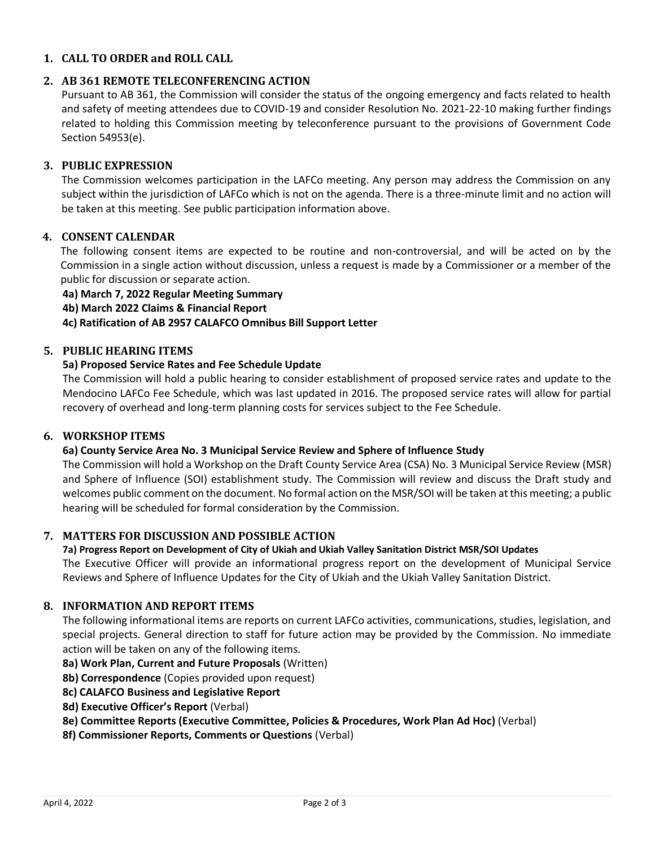#### **1. CALL TO ORDER and ROLL CALL**

#### **2. AB 361 REMOTE TELECONFERENCING ACTION**

Pursuant to AB 361, the Commission will consider the status of the ongoing emergency and facts related to health and safety of meeting attendees due to COVID-19 and consider Resolution No. 2021-22-10 making further findings related to holding this Commission meeting by teleconference pursuant to the provisions of Government Code Section 54953(e).

#### **3. PUBLIC EXPRESSION**

The Commission welcomes participation in the LAFCo meeting. Any person may address the Commission on any subject within the jurisdiction of LAFCo which is not on the agenda. There is a three-minute limit and no action will be taken at this meeting. See public participation information above.

#### **4. CONSENT CALENDAR**

The following consent items are expected to be routine and non-controversial, and will be acted on by the Commission in a single action without discussion, unless a request is made by a Commissioner or a member of the public for discussion or separate action.

#### **4a) March 7, 2022 Regular Meeting Summary**

**4b) March 2022 Claims & Financial Report**

**4c) Ratification of AB 2957 CALAFCO Omnibus Bill Support Letter**

#### **5. PUBLIC HEARING ITEMS**

#### **5a) Proposed Service Rates and Fee Schedule Update**

The Commission will hold a public hearing to consider establishment of proposed service rates and update to the Mendocino LAFCo Fee Schedule, which was last updated in 2016. The proposed service rates will allow for partial recovery of overhead and long-term planning costs for services subject to the Fee Schedule.

#### **6. WORKSHOP ITEMS**

#### **6a) County Service Area No. 3 Municipal Service Review and Sphere of Influence Study**

The Commission will hold a Workshop on the Draft County Service Area (CSA) No. 3 Municipal Service Review (MSR) and Sphere of Influence (SOI) establishment study. The Commission will review and discuss the Draft study and welcomes public comment on the document. No formal action on the MSR/SOI will be taken at this meeting; a public hearing will be scheduled for formal consideration by the Commission.

#### **7. MATTERS FOR DISCUSSION AND POSSIBLE ACTION**

#### **7a) Progress Report on Development of City of Ukiah and Ukiah Valley Sanitation District MSR/SOI Updates**

The Executive Officer will provide an informational progress report on the development of Municipal Service Reviews and Sphere of Influence Updates for the City of Ukiah and the Ukiah Valley Sanitation District.

#### **8. INFORMATION AND REPORT ITEMS**

The following informational items are reports on current LAFCo activities, communications, studies, legislation, and special projects. General direction to staff for future action may be provided by the Commission. No immediate action will be taken on any of the following items.

**8a) Work Plan, Current and Future Proposals** (Written)

**8b) Correspondence** (Copies provided upon request)

- **8c) CALAFCO Business and Legislative Report**
- **8d) Executive Officer's Report** (Verbal)
- **8e) Committee Reports (Executive Committee, Policies & Procedures, Work Plan Ad Hoc)** (Verbal)
- **8f) Commissioner Reports, Comments or Questions** (Verbal)